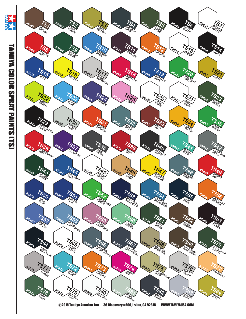

TAMIYA COLOR SPRAY PAINTS (TS) **TAMIYA COLOR SPRAY PAINTS (TS)** 

ATIMENT